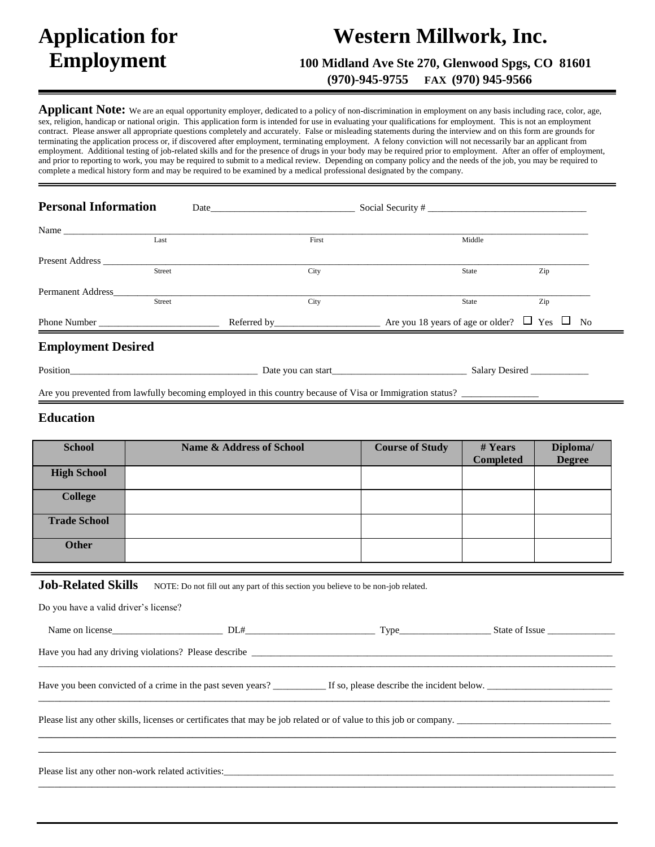# **Application for Western Millwork, Inc.**

 **Employment 100 Midland Ave Ste 270, Glenwood Spgs, CO 81601**

 **(970)-945-9755 FAX (970) 945-9566**

**Applicant Note:** We are an equal opportunity employer, dedicated to a policy of non-discrimination in employment on any basis including race, color, age, sex, religion, handicap or national origin. This application form is intended for use in evaluating your qualifications for employment. This is not an employment contract. Please answer all appropriate questions completely and accurately. False or misleading statements during the interview and on this form are grounds for terminating the application process or, if discovered after employment, terminating employment. A felony conviction will not necessarily bar an applicant from employment. Additional testing of job-related skills and for the presence of drugs in your body may be required prior to employment. After an offer of employment, and prior to reporting to work, you may be required to submit to a medical review. Depending on company policy and the needs of the job, you may be required to complete a medical history form and may be required to be examined by a medical professional designated by the company.

| <b>Personal Information</b> |        | Social Security # |       |        |     |
|-----------------------------|--------|-------------------|-------|--------|-----|
| Name                        |        |                   |       |        |     |
|                             | Last   |                   | First | Middle |     |
|                             |        |                   |       |        |     |
|                             | Street |                   | City  | State  | Zip |
| <b>Permanent Address</b>    |        |                   |       |        |     |
|                             | Street |                   | City  | State  | Zip |
|                             |        |                   |       |        |     |
| <b>Employment Desired</b>   |        |                   |       |        |     |
|                             |        |                   |       |        |     |

Are you prevented from lawfully becoming employed in this country because of Visa or Immigration status?

# **Education**

| <b>School</b>       | <b>Name &amp; Address of School</b> | <b>Course of Study</b> | # Years          | Diploma/      |
|---------------------|-------------------------------------|------------------------|------------------|---------------|
|                     |                                     |                        | <b>Completed</b> | <b>Degree</b> |
| <b>High School</b>  |                                     |                        |                  |               |
| <b>College</b>      |                                     |                        |                  |               |
| <b>Trade School</b> |                                     |                        |                  |               |
| <b>Other</b>        |                                     |                        |                  |               |

### **Job-Related Skills** NOTE: Do not fill out any part of this section you believe to be non-job related.

| Do you have a valid driver's license? |                                                                                                                    |                |
|---------------------------------------|--------------------------------------------------------------------------------------------------------------------|----------------|
|                                       |                                                                                                                    | State of Issue |
|                                       |                                                                                                                    |                |
|                                       | Have you been convicted of a crime in the past seven years? If so, please describe the incident below.             |                |
|                                       | Please list any other skills, licenses or certificates that may be job related or of value to this job or company. |                |
|                                       |                                                                                                                    |                |
|                                       |                                                                                                                    |                |

Please list any other non-work related activities: \_\_\_\_\_\_\_\_\_\_\_\_\_\_\_\_\_\_\_\_\_\_\_\_\_\_\_\_\_\_\_\_\_\_\_\_\_\_\_\_\_\_\_\_\_\_\_\_\_\_\_\_\_\_\_\_\_\_\_\_\_\_\_\_\_\_\_\_\_\_\_\_\_\_\_\_\_\_\_\_\_\_\_\_\_\_\_\_\_\_\_\_\_\_\_\_\_\_\_\_\_\_\_\_\_\_\_\_